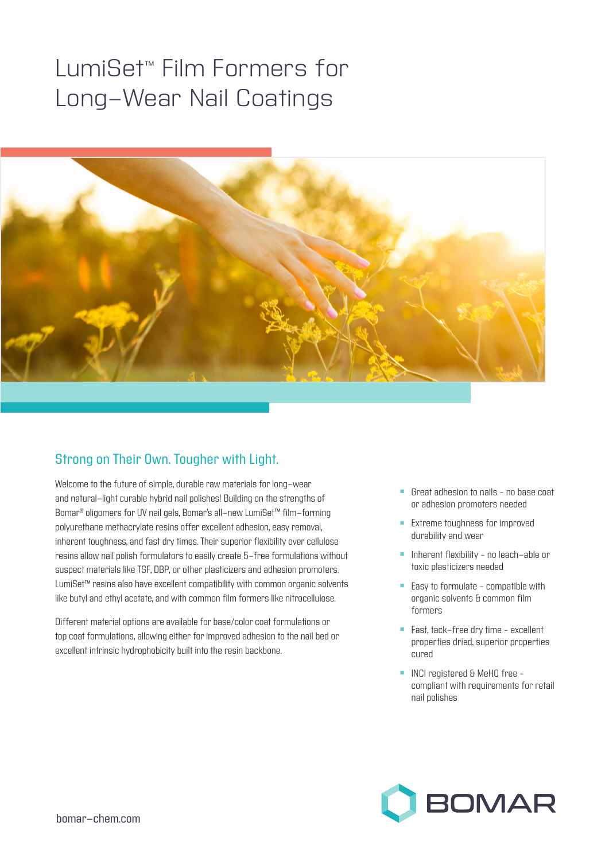## LumiSet™ Film Formers for Long-Wear Nail Coatings



## Strong on Their Own. Tougher with Light.

Welcome to the future of simple, durable raw materials for long-wear and natural-light curable hybrid nail polishes! Building on the strengths of Bomar® oligomers for UV nail gels, Bomar's all-new LumiSet™ film-forming polyurethane methacrylate resins offer excellent adhesion, easy removal, inherent toughness, and fast dry times. Their superior flexibility over cellulose resins allow nail polish formulators to easily create 5-free formulations without suspect materials like TSF, DBP, or other plasticizers and adhesion promoters. LumiSet™ resins also have excellent compatibility with common organic solvents like butyl and ethyl acetate, and with common film formers like nitrocellulose.

Different material options are available for base/color coat formulations or top coat formulations, allowing either for improved adhesion to the nail bed or excellent intrinsic hydrophobicity built into the resin backbone.

- <sup>n</sup> Great adhesion to nails no base coat or adhesion promoters needed
- **Extreme toughness for improved** durability and wear
- **n** Inherent flexibility no leach-able or toxic plasticizers needed
- $\blacksquare$  Easy to formulate compatible with organic solvents & common film formers
- Fast, tack-free dry time excellent properties dried, superior properties cured
- **NOI** registered & MeHQ free compliant with requirements for retail nail polishes